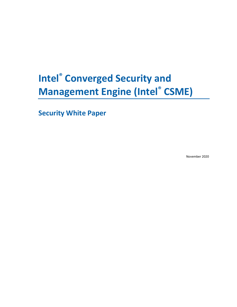# **Intel® Converged Security and Management Engine (Intel® CSME)**

**Security White Paper**

November 2020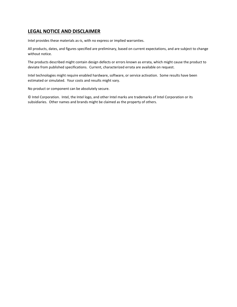## **LEGAL NOTICE AND DISCLAIMER**

Intel provides these materials as-is, with no express or implied warranties.

All products, dates, and figures specified are preliminary, based on current expectations, and are subject to change without notice.

The products described might contain design defects or errors known as errata, which might cause the product to deviate from published specifications. Current, characterized errata are available on request.

Intel technologies might require enabled hardware, software, or service activation. Some results have been estimated or simulated. Your costs and results might vary.

No product or component can be absolutely secure.

© Intel Corporation. Intel, the Intel logo, and other Intel marks are trademarks of Intel Corporation or its subsidiaries. Other names and brands might be claimed as the property of others.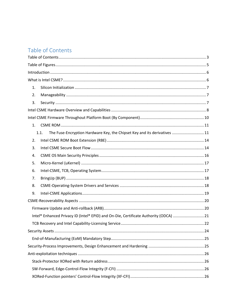# <span id="page-2-0"></span>Table of Contents

| 1. |                                                                                      |  |
|----|--------------------------------------------------------------------------------------|--|
| 2. |                                                                                      |  |
| 3. |                                                                                      |  |
|    |                                                                                      |  |
|    |                                                                                      |  |
| 1. |                                                                                      |  |
|    | The Fuse-Encryption Hardware Key, the Chipset Key and its derivatives  11<br>1.1.    |  |
| 2. |                                                                                      |  |
| 3. |                                                                                      |  |
| 4. |                                                                                      |  |
| 5. |                                                                                      |  |
| 6. |                                                                                      |  |
| 7. |                                                                                      |  |
| 8. |                                                                                      |  |
| 9. |                                                                                      |  |
|    |                                                                                      |  |
|    |                                                                                      |  |
|    | Intel® Enhanced Privacy ID (Intel® EPID) and On-Die, Certificate Authority (ODCA) 21 |  |
|    |                                                                                      |  |
|    |                                                                                      |  |
|    |                                                                                      |  |
|    |                                                                                      |  |
|    |                                                                                      |  |
|    |                                                                                      |  |
|    |                                                                                      |  |
|    |                                                                                      |  |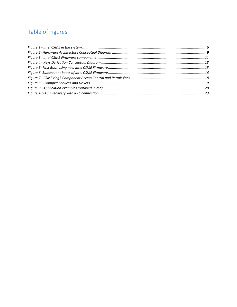# <span id="page-4-0"></span>Table of Figures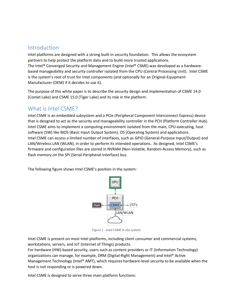## <span id="page-5-0"></span>Introduction

Intel platforms are designed with a strong built-in security foundation. This allows the ecosystem partners to help protect the platform data and to build more trusted applications. The Intel® Converged Security and Management Engine (Intel® CSME) was developed as a hardwarebased manageability and security controller isolated from the CPU (Central Processing Unit). Intel CSME is the system's root of trust for Intel components (and optionally for an Original-Equipment Manufacturer (OEM) if it decides to use it).

The purpose of this white paper is to describe the security design and implementation of CSME 14.0 (Comet Lake) and CSME 15.0 (Tiger Lake) and its role in the platform.

## <span id="page-5-1"></span>What is Intel CSME?

Intel CSME is an embedded subsystem and a PCIe (Peripheral Component Interconnect Express) device that is designed to act as the security and manageability controller in the PCH (Platform Controller Hub). Intel CSME aims to implement a computing environment isolated from the main, CPU-executing, host software (SW) like BIOS (Basic Input Output System), OS (Operating System) and applications. Intel CSME can access a limited number of interfaces, such as GPIO (General-Purpose Input/Output) and LAN/Wireless LAN (WLAN), in order to perform its intended operations. As designed, Intel CSME's firmware and configuration files are stored in NVRAM (Non-Volatile, Random-Access Memory), such as flash memory on the SPI (Serial-Peripheral-Interface) bus.

The following figure shows Intel CSME's position in the system:



*Figure 1 - Intel CSME in the system*

Intel CSME is present on most Intel platforms, including client consumer and commercial systems, workstations, servers, and IoT (Internet of Things) products.

For hardware (HW)-based security, users such as content providers or IT (Information Technology) organizations can manage, for example, DRM (Digital-Right Management) and Intel® Active Management Technology (Intel® AMT), which requires hardware-level security to be available when the host is not responding or is powered down.

Intel CSME is designed to serve three main platform functions: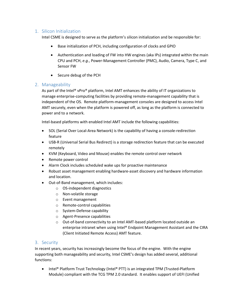## <span id="page-6-0"></span>1. Silicon Initialization

Intel CSME is designed to serve as the platform's silicon initialization and be responsible for:

- Base initialization of PCH, including configuration of clocks and GPIO
- Authentication and loading of FW into HW engines (aka IPs) integrated within the main CPU and PCH, *e.g.*, Power-Management Controller (PMC), Audio, Camera, Type C, and Sensor FW
- Secure debug of the PCH

#### <span id="page-6-1"></span>2. Manageability

As part of the Intel® vPro® platform, Intel AMT enhances the ability of IT organizations to manage enterprise-computing facilities by providing remote-management capability that is independent of the OS. Remote platform-management consoles are designed to access Intel AMT securely, even when the platform is powered off, as long as the platform is connected to power and to a network.

Intel-based platforms with enabled Intel AMT include the following capabilities:

- SOL (Serial Over Local-Area Network) is the capability of having a console-redirection feature
- USB-R (Universal Serial Bus Redirect) is a storage redirection feature that can be executed remotely
- KVM (Keyboard, Video and Mouse) enables the remote control over network
- Remote power control
- Alarm Clock includes scheduled wake ups for proactive maintenance
- Robust asset management enabling hardware-asset discovery and hardware information and location.
- Out-of-Band management, which includes:
	- o OS-independent diagnostics
	- o Non-volatile storage
	- o Event management
	- o Remote-control capabilities
	- o System-Defense capability
	- o Agent-Presence capabilities
	- o Out-of-band connectivity to an Intel AMT-based platform located outside an enterprise intranet when using Intel® Endpoint Management Assistant and the CIRA (Client Initiated Remote Access) AMT feature.

#### <span id="page-6-2"></span>3. Security

In recent years, security has increasingly become the focus of the engine. With the engine supporting both manageability and security, Intel CSME's design has added several, additional functions:

• Intel® Platform Trust Technology (Intel® PTT) is an integrated TPM (Trusted-Platform Module) compliant with the TCG TPM 2.0 standard. It enables support of UEFI (Unified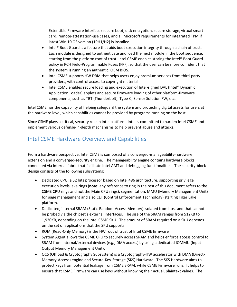Extensible Firmware Interface) secure boot, disk encryption, secure storage, virtual smart card, remote-attestation-use cases, and all Microsoft requirements for integrated TPM if latest Win 10 OS version (19H1/H2) is installed.

- Intel® Boot Guard is a feature that aids boot-execution integrity through a chain of trust. Each module is designed to authenticate and load the next module in the boot sequence, starting from the platform root of trust. Intel CSME enables storing the Intel® Boot Guard policy in PCH Field-Programmable Fuses (FPF), so that the user can be more confident that the system is running an authentic, OEM BIOS.
- Intel CSME supports HW DRM that helps users enjoy premium services from third-party providers, with control access to copyright material
- Intel CSME enables secure loading and execution of Intel-signed DAL (Intel® Dynamic Application Loader) applets and secure firmware loading of other platform-firmware components, such as TBT (Thunderbolt), Type-C, Sensor Solution FW, etc.

Intel CSME has the capability of helping safeguard the system and protecting digital assets for users at the hardware level, which capabilities cannot be provided by programs running on the host.

Since CSME plays a critical, security role in Intel platform, Intel is committed to harden Intel CSME and implement various defense-in-depth mechanisms to help prevent abuse and attacks.

# <span id="page-7-0"></span>Intel CSME Hardware Overview and Capabilities

From a hardware perspective, Intel CSME is composed of a converged-manageability-hardware extension and a converged-security engine. The manageability engine contains hardware blocks connected via internal fabric that facilitate Intel AMT and debugging functionalities. The security-block design consists of the following subsystems:

- Dedicated CPU, a 32 bits processor based on Intel 486 architecture, supporting privilege execution levels, aka rings (**note:** any reference to ring in the rest of this document refers to the CSME CPU rings and not the Main CPU rings), segmentation, MMU (Memory Management Unit) for page management and also CET (Control Enforcement Technology) starting Tiger Lake platform.
- Dedicated, internal SRAM (Static Random-Access Memory) isolated from host and that cannot be probed via the chipset's external interfaces. The size of the SRAM ranges from 512KB to 1,920KB, depending on the Intel CSME SKU. The amount of SRAM required on a SKU depends on the set of applications that the SKU supports.
- ROM (Read-Only Memory) is the HW root of trust of Intel CSME firmware
- System Agent allows the CSME CPU to securely access SRAM and helps enforce access control to SRAM from internal/external devices (*e.g.*, DMA access) by using a dedicated IOMMU (Input Output Memory Management Unit).
- OCS (Offload & Cryptography Subsystem) is a Cryptography-HW accelerator with DMA (Direct-Memory-Access) engine and Secure-Key-Storage (SKS) Hardware. The SKS Hardware aims to protect keys from potential leakage from CSME SRAM, while CSME Firmware runs. It helps to ensure that CSME Firmware can use keys without knowing their actual, plaintext values. The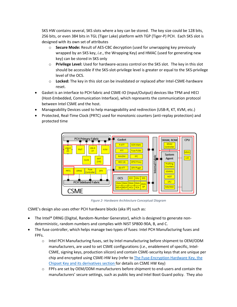SKS HW contains several, SKS slots where a key can be stored. The key size could be 128 bits, 256 bits, or even 384 bits in TGL (Tiger Lake) platform with TGP (Tiger-P) PCH. Each SKS slot is designed with its own set of attributes

- o **Secure Mode:** Result of AES-CBC decryption (used for unwrapping key previously wrapped by an SKS key, *i.e.*, the Wrapping Key) and HMAC (used for generating new key) can be stored in SKS only
- o **Privilege Level:** Used for hardware-access control on the SKS slot. The key in this slot should be accessible if the SKS-slot-privilege level is greater or equal to the SKS-privilege level of the OCS.
- o **Locked:** The key in this slot can be invalidated or replaced after Intel-CSME-hardware reset.
- Gasket is an interface to PCH fabric and CSME-IO (Input/Output) devices like TPM and HECI (Host-Embedded, Communication Interface), which represents the communication protocol between Intel CSME and the host.
- Manageability Devices used to help manageability and redirection (USB-R, KT, KVM, etc.)
- Protected, Real-Time Clock (PRTC) used for monotonic counters (anti-replay protection) and protected time



*Figure 2- Hardware Architecture Conceptual Diagram*

CSME's design also uses other PCH hardware blocks (aka IP) such as:

- The Intel® DRNG (Digital, Random-Number Generator), which is designed to generate nondeterministic, random numbers and complies with NIST SP800-90A, B, and C.
- The fuse controller, which helps manage two types of fuses: Intel PCH Manufacturing fuses and FPFs.
	- o Intel PCH Manufacturing fuses, set by Intel manufacturing before shipment to OEM/ODM manufacturers, are used to set CSME configurations (*i.e.*, enablement of specific, Intel-CSME, signing keys, production silicon) and contain CSME-security keys that are unique per chip and encrypted using CSME-HW key (refer t[o The Fuse-Encryption Hardware Key, the](#page-10-1)  [Chipset Key and its derivatives](#page-10-1) section for details on CSME HW Key)
	- $\circ$  FPFs are set by OEM/ODM manufacturers before shipment to end-users and contain the manufacturers' secure settings, such as public key and Intel Boot Guard policy. They also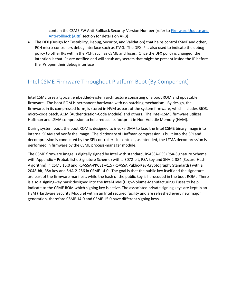contain the CSME FW Anti-Rollback Security-Version Number (refer to [Firmware Update and](#page-19-1)  [Anti-rollback \(ARB\)](#page-19-1) section for details on ARB)

• The DFX (Design for Testability, Debug, Security, and Validation) that helps control CSME and other, PCH micro-controllers debug interface such as JTAG. The DFX IP is also used to indicate the debug policy to other IPs within the PCH, such as CSME and fuses. Once the DFX policy is changed, the intention is that IPs are notified and will scrub any secrets that might be present inside the IP before the IPs open their debug interface

# <span id="page-9-0"></span>Intel CSME Firmware Throughout Platform Boot (By Component)

Intel CSME uses a typical, embedded-system architecture consisting of a boot ROM and updatable firmware. The boot ROM is permanent hardware with no patching mechanism. By design, the firmware, in its compressed form, is stored in NVM as part of the system firmware, which includes BIOS, micro-code patch, ACM (Authentication-Code Module) and others. The Intel-CSME firmware utilizes Huffman and LZMA compression to help reduce its footprint in Non-Volatile Memory (NVM).

During system boot, the boot ROM is designed to invoke DMA to load the Intel CSME binary image into internal SRAM and verify the image. The dictionary of Huffman compression is built into the SPI and decompression is conducted by the SPI controller. In contrast, as intended, the LZMA decompression is performed in firmware by the CSME process-manager module.

The CSME firmware image is digitally signed by Intel with standard, RSASSA-PSS (RSA-Signature Scheme with Appendix – Probabilistic-Signature Scheme) with a 3072-bit, RSA key and SHA-2-384 (Secure-Hash Algorithm) in CSME 15.0 and RSASSA-PKCS1-v1.5 (RSASSA Public-Key-Cryptography Standards) with a 2048-bit, RSA key and SHA-2-256 in CSME 14.0. The goal is that the public key itself and the signature are part of the firmware manifest, while the hash of the public key is hardcoded in the boot ROM. There is also a signing-key mask designed into the Intel-HVM (High-Volume-Manufacturing) Fuses to help indicate to the CSME ROM which signing key is active. The associated private signing keys are kept in an HSM (Hardware Security Module) within an Intel secured facility and are refreshed every new major generation, therefore CSME 14.0 and CSME 15.0 have different signing keys.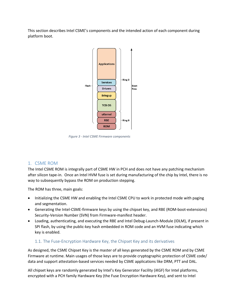This section describes Intel CSME's components and the intended action of each component during platform boot.



*Figure 3 - Intel CSME Firmware components*

#### <span id="page-10-0"></span>1. CSME ROM

The Intel CSME ROM is integrally part of CSME HW in PCH and does not have any patching mechanism after silicon tape-in. Once an Intel HVM fuse is set during manufacturing of the chip by Intel, there is no way to subsequently bypass the ROM on production stepping.

The ROM has three, main goals:

- Initializing the CSME HW and enabling the Intel CSME CPU to work in protected mode with paging and segmentation.
- Generating the Intel-CSME-firmware keys by using the chipset key, and RBE (ROM-boot-extensions) Security-Version Number (SVN) from Firmware-manifest header.
- Loading, authenticating, and executing the RBE and Intel Debug-Launch-Module (IDLM), if present in SPI flash, by using the public-key hash embedded in ROM code and an HVM fuse indicating which key is enabled.

#### <span id="page-10-1"></span>1.1. The Fuse-Encryption Hardware Key, the Chipset Key and its derivatives

As designed, the CSME Chipset Key is the master of all keys generated by the CSME ROM and by CSME Firmware at runtime. Main usages of those keys are to provide cryptographic protection of CSME code/ data and support attestation-based services needed by CSME applications like DRM, PTT and DAL.

All chipset keys are randomly generated by Intel's Key Generator Facility (iKGF) for Intel platforms, encrypted with a PCH family Hardware Key (the Fuse Encryption Hardware Key), and sent to Intel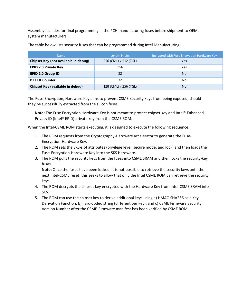Assembly facilities for final programming in the PCH manufacturing fuses before shipment to OEM, system manufacturers.

| <b>Name</b>                                 | Length in bits        | Encrypted with Fuse Encryption Hardware Key |
|---------------------------------------------|-----------------------|---------------------------------------------|
| <b>Chipset Key (not available in debug)</b> | 256 (CML) / 512 (TGL) | Yes                                         |
| <b>EPID 2.0 Private Key</b>                 | 256                   | Yes                                         |
| <b>EPID 2.0 Group ID</b>                    | 32                    | <b>No</b>                                   |
| <b>PTT EK Counter</b>                       | 32                    | No                                          |
| <b>Chipset Key (available in debug)</b>     | 128 (CML) / 256 (TGL) | <b>No</b>                                   |

The table below lists security fuses that can be programmed during Intel Manufacturing:

The Fuse-Encryption, Hardware Key aims to prevent CSME-security keys from being exposed, should they be successfully extracted from the silicon fuses.

**Note:** The Fuse Encryption Hardware Key is not meant to protect chipset key and Intel® Enhanced-Privacy ID (Intel® EPID) private key from the CSME ROM.

When the Intel-CSME ROM starts executing, it is designed to execute the following sequence:

- 1. The ROM requests from the Cryptography-Hardware accelerator to generate the Fuse-Encryption-Hardware Key.
- 2. The ROM sets the SKS-slot attributes (privilege level, secure mode, and lock) and then loads the Fuse-Encryption-Hardware Key into the SKS Hardware.
- 3. The ROM pulls the security keys from the fuses into CSME SRAM and then locks the security-key fuses.

**Note:** Once the fuses have been locked, it is not possible to retrieve the security keys until the next Intel-CSME reset; this seeks to allow that only the Intel CSME ROM can retrieve the security keys.

- 4. The ROM decrypts the chipset key encrypted with the Hardware Key from Intel-CSME SRAM into SKS.
- 5. The ROM can use the chipset key to derive additional keys using a) HMAC-SHA256 as a Key-Derivation Function, b) hard-coded string (different per key), and c) CSME Firmware Security Version Number after the CSME-Firmware manifest has been verified by CSME ROM.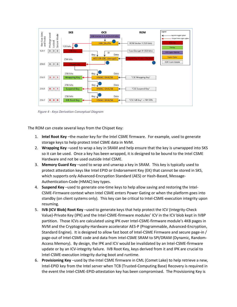

*Figure 4 - Keys Derivation Conceptual Diagram*

The ROM can create several keys from the Chipset Key:

- 1. **Intel Root Key** –the master key for the Intel CSME firmware. For example, used to generate storage keys to help protect Intel CSME data in NVM.
- 2. **Wrapping Key** –used to wrap a key in SRAM and help ensure that the key is unwrapped into SKS so it can be used. Once a key has been wrapped, it is designed to be bound to the Intel CSME Hardware and not be used outside Intel CSME.
- 3. **Memory Guard Key** –used to wrap and unwrap a key in SRAM. This key is typically used to protect attestation keys like Intel EPID or Endorsement Key (EK) that cannot be stored in SKS, which supports only Advanced-Encryption Standard (AES) or Hash-Based, Message-Authentication-Code (HMAC) key types.
- 4. **Suspend Key** –used to generate one-time keys to help allow saving and restoring the Intel-CSME-Firmware context when Intel CSME enters Power Gating or when the platform goes into standby (on client systems only). This key can be critical to Intel-CSME-execution integrity upon resuming.
- 5. **IVB (ICV Blob) Root Key** –used to generate keys that help protect the ICV (Integrity-Check Value)-Private Key (IPK) and the Intel-CSME-firmware modules' ICV in the ICV blob kept in IVBP partition. Those ICVs are calculated using IPK over Intel-CSME-firmware module's 4KB pages in NVM and the Cryptography-Hardware accelerator AES-P (Programmable, Advanced-Encryption, Standard Engine). It is designed to allow fast boot of Intel-CSME Firmware and secure page-in / page-out of Intel-CSME code and data from Intel-CSME SRAM to SPI/DRAM (Dynamic, Random-Access Memory). By design, the IPK and ICV would be invalidated by an Intel-CSME-firmware update or by an ICV-integrity failure. IVB Root Key, keys derived from it and IPK are crucial to Intel-CSME-execution integrity during boot and runtime.
- 6. **Provisioning Key** –used by the-Intel CSME firmware in CML (Comet Lake) to help retrieve a new, Intel-EPID key from the Intel server when TCB (Trusted-Computing Base) Recovery is required in the event the Intel-CSME-EPID-attestation key has been compromised. The Provisioning Key is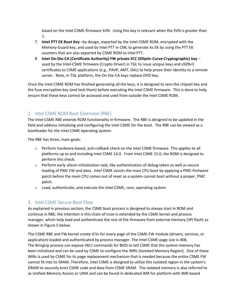based on the Intel-CSME-firmware SVN. Using this key is relevant when the SVN is greater than 1.

- 7. **Intel PTT EK Root Key** –by design, exported by the Intel-CSME ROM, encrypted with the Memory-Guard key, and used by Intel PTT in CML to generate its EK by using the PTT EK counters that are also exported by CSME ROM to Intel PTT.
- 8. **Intel On-Die-CA (Certificate Authority) FW private ECC (Elliptic-Curve-Cryptographic) key** used by the Intel-CSME firmware (Crypto Driver) in TGL to issue unique keys and x509v3 certificates to CSME applications (*e.g.*, PAVP, AMT, DAL) to help prove their identity to a remote server. Note, in TGL platform, the On-Die-CA keys replace EPID key.

Once the Intel-CSME ROM has finished generating all the keys, it is designed to zero the chipset key and the fuse encryption key (and lock them) before executing the Intel CSME firmware. This is done to help ensure that these keys cannot be accessed and used from outside the Intel CSME ROM.

## <span id="page-13-0"></span>2. Intel CSME ROM Boot Extension (RBE)

The Intel-CSME RBE extends ROM functionality in firmware. The RBE is designed to be updated in the field and address initializing and configuring the Intel CSME for the boot. The RBE can be viewed as a bootloader for the Intel-CSME operating system.

The RBE has three, main goals:

- o Perform hardware-based, anti-rollback check on the Intel CSME firmware. This applies to all platforms up to and including Intel CSME 14.0. From Intel CSME 15.0, the ROM is designed to perform this check.
- $\circ$  Perform early silicon initialization task, like authentication of debug token as well as secure loading of PMC FW and data. Intel CSME assists the main CPU boot by applying a PMC-firmware patch before the main CPU comes out of reset as a system cannot boot without a proper, PMC patch.
- o Load, authenticate, and execute the Intel-CSME, core, operating system.

## <span id="page-13-1"></span>3. Intel CSME Secure Boot Flow

As explained in previous section, the CSME boot process is designed to always start in ROM and continue in RBE; the intention is this chain of trust is extended by the CSME kernel and process manager, which help load and authenticate the rest of the firmware from external memory (SPI flash) as shown in Figure 5 below.

The CSME RBE and FW kernel create ICVs for every page of the CSME-FW module (drivers, services, or application) loaded and authenticated by process manager. The Intel-CSME-page size is 4KB. The BringUp process can expose HECI commands for BIOS to tell CSME that the system memory has been initialized and can be used by CSME to configure the IMRs (Isolated Memory Region). One of these IMRs is used by CSME for its page replacement mechanism that is needed because the entire CSME FW cannot fit into its SRAM. Therefore, Intel CSME is designed to utilize this isolated region in the system's DRAM to securely evict CSME code and data from CSME SRAM. The isolated memory is also referred to as Unified-Memory Access or UMA and can be found in dedicated IMR for platform with IMR-based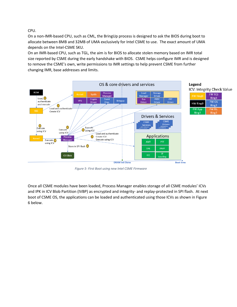CPU.

On a non-IMR-based CPU, such as CML, the BringUp process is designed to ask the BIOS during boot to allocate between 8MB and 32MB of UMA exclusively for Intel CSME to use. The exact amount of UMA depends on the Intel-CSME SKU.

On an IMR-based CPU, such as TGL, the aim is for BIOS to allocate stolen memory based on IMR total size reported by CSME during the early handshake with BIOS. CSME helps configure IMR and is designed to remove the CSME's own, write permissions to IMR settings to help prevent CSME from further changing IMR, base addresses and limits.



*Figure 5- First Boot using new Intel CSME Firmware*

Once all CSME modules have been loaded, Process Manager enables storage of all CSME modules' ICVs and IPK in ICV Blob Partition (IVBP) as encrypted and integrity- and replay-protected in SPI flash. At next boot of CSME OS, the applications can be loaded and authenticated using those ICVs as shown in Figure 6 below.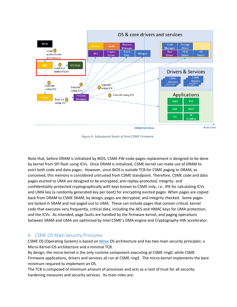

*Figure 6- Subsequent boots of Intel CSME Firmware*

Note that, before DRAM is initialized by BIOS, CSME-FW-code-pages replacement is designed to be done by kernel from SPI flash using ICVs. Once DRAM is initialized, CSME kernel can make use of DRAM to evict both code and data pages. However, since BIOS is outside TCB for CSME paging to DRAM, as conceived, this memory is considered untrusted from CSME standpoint. Therefore, CSME code and data pages evicted to UMA are designed to be encrypted, anti-replay-protected, integrity- and confidentiality-protected cryptographically with keys known to CSME only, *i.e.*, IPK for calculating ICVs and UMA key (a randomly generated key per boot) for encrypting evicted pages. When pages are copied back from DRAM to CSME SRAM, by design, pages are decrypted, and integrity checked. Some pages are locked in SRAM and not paged out to UMA. These can include pages that contain critical, kernel code that executes very frequently, critical data, including the AES and HMAC keys for UMA protection, and the ICVs. As intended, page faults are handled by the firmware kernel, and paging operations between SRAM and UMA are optimized by Intel CSME's DMA engine and Cryptography-HW accelerator.

## <span id="page-15-0"></span>4. CSME OS Main Security Principles

CSME OS (Operating System) is based on [Minix](http://www.minix3.org/) OS architecture and has two main security principles: a Micro-Kernel-OS architecture and a minimal TCB.

By design, the micro-kernel is the only runtime component executing at CSME ring0, while CSME Firmware applications, drivers and services all run at CSME ring3. The micro-kernel implements the bare minimum required to implement an OS.

The TCB is composed of minimum amount of processes and acts as a root of trust for all securityhardening measures and security services. Its main roles are: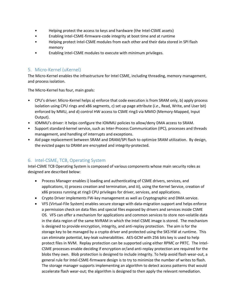- Helping protect the access to keys and hardware (the Intel-CSME assets)
- Enabling Intel-CSME-firmware-code integrity at boot time and at runtime
- Helping protect Intel-CSME modules from each other and their data stored in SPI flash memory
- Enabling Intel-CSME modules to execute with minimum privileges.

## <span id="page-16-0"></span>5. Micro-Kernel (uKernel)

The Micro-Kernel enables the infrastructure for Intel CSME, including threading, memory management, and process isolation.

The Micro-Kernel has four, main goals:

- CPU's driver: Micro-Kernel helps a) enforce that code execution is from SRAM only, b) apply process isolation using CPU rings and x86 segments, c) set up page attribute (*i.e*., Read, Write, and User bit) enforced by MMU, and d) control HW access to CSME ring3 via MMIO (Memory-Mapped, Input Output).
- IOMMU's driver: it helps configure the IOMMU policies to allow/deny DMA access to SRAM.
- Support standard-kernel service, such as Inter-Process Communication (IPC), processes and threads management, and handling of interrupts and exceptions.
- Aid page replacement between SRAM and DRAM/SPI flash to optimize SRAM utilization. By design, the evicted pages to DRAM are encrypted and integrity-protected.

## <span id="page-16-1"></span>6. Intel-CSME, TCB, Operating System

Intel-CSME TCB Operating System is composed of various components whose main security roles as designed are described below:

- Process Manager enables i) loading and authenticating of CSME drivers, services, and applications, ii) process creation and termination, and iii), using the Kernel Service, creation of x86 process running at ring3 CPU privileges for driver, services, and applications.
- Crypto Driver implements FW-key management as well as Cryptographic and DMA service.
- VFS (Virtual-File System) enables secure storage with data-migration support and helps enforce a permission check on data files and special files exposed by drivers and services inside CSME OS. VFS can offer a mechanism for applications and common services to store non-volatile data in the data region of the same NVRAM in which the Intel CSME image is stored. The mechanism is designed to provide encryption, integrity, and anti-replay protection. The aim is for the storage key to be managed by a crypto driver and protected using the SKS HW at runtime. This can eliminate potential, key-leak vulnerabilities. AES-GCM with 256 bits key is used to help protect files in NVM. Replay protection can be supported using either RPMC or PRTC. The Intel-CSME processes enable deciding if encryption or/and anti-replay protection are required for the blobs they own. Blob protection is designed to include integrity. To help avoid flash wear-out, a general rule for Intel-CSME-firmware design is to try to minimize the number of writes to flash. The storage manager supports implementing an algorithm to detect access patterns that would accelerate flash wear-out; the algorithm is designed to then apply the relevant remediation.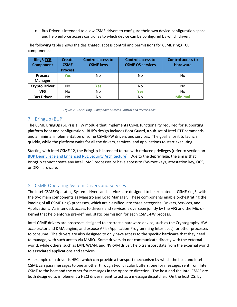• Bus Driver is intended to allow CSME drivers to configure their own device-configuration space and help enforce access control as to which device can be configured by which driver.

The following table shows the designated, access control and permissions for CSME ring3 TCB components:

| <b>Ring3 TCB</b><br><b>Component</b> | <b>Create</b><br><b>CSME</b><br><b>Process</b> | <b>Control access to</b><br><b>CSME</b> keys | <b>Control access to</b><br><b>CSME OS services</b> | <b>Control access to</b><br><b>Hardware</b> |
|--------------------------------------|------------------------------------------------|----------------------------------------------|-----------------------------------------------------|---------------------------------------------|
| <b>Process</b>                       | <b>Yes</b>                                     | No                                           | No                                                  | No                                          |
| <b>Manager</b>                       |                                                |                                              |                                                     |                                             |
| <b>Crypto Driver</b>                 | No                                             | <b>Yes</b>                                   | No                                                  | No                                          |
| <b>VFS</b>                           | No                                             | No                                           | <b>Yes</b>                                          | No                                          |
| <b>Bus Driver</b>                    | No                                             | No                                           | No                                                  | <b>Minimal</b>                              |

<span id="page-17-2"></span> *Figure 7 - CSME ring3 Component Access Control and Permissions*

## <span id="page-17-0"></span>7. BringUp (BUP)

The CSME BringUp (BUP) is a FW module that implements CSME functionality required for supporting platform boot and configuration. BUP's design includes Boot Guard, a sub-set of Intel-PTT commands, and a minimal implementation of some CSME-FW drivers and services. The goal is for it to launch quickly, while the platform waits for all the drivers, services, and applications to start executing.

Starting with Intel CSME 12, the BringUp is intended to run with reduced privileges (refer to section on [BUP Deprivilege and Enhanced RBE Security Architecture\)](#page-26-5). Due to the deprivilege, the aim is that BringUp cannot create any Intel CSME processes or have access to FW-root keys, attestation key, OCS, or DFX hardware.

## <span id="page-17-1"></span>8. CSME-Operating-System Drivers and Services

The Intel-CSME Operating-System drivers and services are designed to be executed at CSME ring3, with the two main components as Maestro and Load Manager. These components enable orchestrating the loading of all CSME ring3 processes, which are classified into three categories: Drivers, Services, and Applications. As intended, access to drivers and services is overseen jointly by the VFS and the Micro-Kernel that help enforce pre-defined, static permission for each CSME-FW process.

Intel-CSME drivers are processes designed to abstract a hardware device, such as the Cryptography-HW accelerator and DMA engine, and expose APIs (Application-Programming Interfaces) for other processes to consume. The drivers are also designed to only have access to the specific hardware that they need to manage, with such access via MMIO. Some drivers do not communicate directly with the external world, while others, such as LAN, WLAN, and NVRAM driver, help transport data from the external world to associated applications and services.

An example of a driver is HECI, which can provide a transport mechanism by which the host and Intel CSME can pass messages to one another through two, circular buffers: one for messages sent from Intel CSME to the host and the other for messages in the opposite direction. The host and the Intel CSME are both designed to implement a HECI driver meant to act as a message dispatcher. On the host OS, by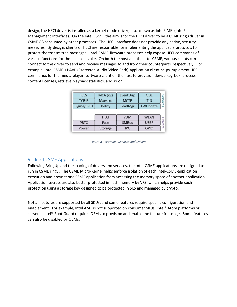design, the HECI driver is installed as a kernel-mode driver, also known as Intel® MEI (Intel® Management Interface). On the Intel CSME, the aim is for the HECI driver to be a CSME ring3 driver in CSME OS consumed by other processes. The HECI interface does not provide any native, security measures. By design, clients of HECI are responsible for implementing the applicable protocols to protect the transmitted messages. Intel-CSME-firmware processes help expose HECI commands of various functions for the host to invoke. On both the host and the Intel CSME, various clients can connect to the driver to send and receive messages to and from their counterparts, respectively. For example, Intel CSME's PAVP (Protected-Audio-Video Path)-application client helps implement HECI commands for the media-player, software client on the host to provision device key-box, process content licenses, retrieve playback statistics, and so on.

| <b>iCLS</b>  | MCA (x2)    | EventDisp    | <b>GDE</b>  | Se             |
|--------------|-------------|--------------|-------------|----------------|
| <b>TCB-R</b> | Maestro     | <b>MCTP</b>  | <b>TLS</b>  | VICes          |
| Sigma/EPID   | Policy      | LoadMgr      | FWUpdate    |                |
|              |             |              |             |                |
|              | <b>HECI</b> | <b>VDM</b>   | <b>WLAN</b> |                |
| <b>PRTC</b>  | Fuse        | <b>SMBus</b> | <b>USBR</b> | <b>Drivers</b> |
| Power        | Storage     | <b>IPC</b>   | <b>GPIO</b> |                |

*Figure 8 - Example: Services and Drivers*

#### <span id="page-18-1"></span><span id="page-18-0"></span>9. Intel-CSME Applications

Following BringUp and the loading of drivers and services, the Intel-CSME applications are designed to run in CSME ring3. The CSME Micro-Kernel helps enforce isolation of each Intel-CSME-application execution and prevent one CSME application from accessing the memory space of another application. Application secrets are also better protected in flash memory by VFS, which helps provide such protection using a storage key designed to be protected in SKS and managed by crypto.

Not all features are supported by all SKUs, and some features require specific configuration and enablement. For example, Intel AMT is not supported on consumer SKUs, Intel® Atom platforms or servers. Intel® Boot Guard requires OEMs to provision and enable the feature for usage. Some features can also be disabled by OEMs.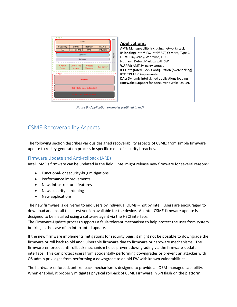

*Figure 9 - Application examples (outlined in red)*

# <span id="page-19-0"></span>CSME-Recoverability Aspects

The following section describes various designed recoverability aspects of CSME: from simple firmware update to re-key-generation process in specific cases of security breaches.

## <span id="page-19-1"></span>Firmware Update and Anti-rollback (ARB)

Intel CSME's firmware can be updated in the field. Intel might release new firmware for several reasons:

- Functional- or security-bug mitigations
- Performance improvements
- New, infrastructural features
- New, security hardening
- New applications

The new firmware is delivered to end users by individual OEMs – not by Intel. Users are encouraged to download and install the latest version available for the device. An Intel-CSME-firmware update is designed to be installed using a software agent via the HECI interface.

The Firmware-Update process supports a fault-tolerant mechanism to help protect the user from system bricking in the case of an interrupted update.

If the new firmware implements mitigations for security bugs, it might not be possible to downgrade the firmware or roll back to old and vulnerable firmware due to firmware or hardware mechanisms. The firmware-enforced, anti-rollback mechanism helps prevent downgrading via the firmware-update interface. This can protect users from accidentally performing downgrades or prevent an attacker with OS-admin privileges from performing a downgrade to an old FW with known vulnerabilities.

The hardware-enforced, anti-rollback mechanism is designed to provide an OEM-managed capability. When enabled, it properly mitigates physical rollback of CSME Firmware in SPI flash on the platform.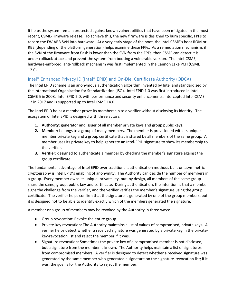It helps the system remain protected against known vulnerabilities that have been mitigated in the most recent, CSME-Firmware release. To achieve this, the new firmware is designed to burn specific, FPFs to record the FW ARB SVN into hardware. At a very early stage of the boot, the Intel CSME's boot ROM or RBE (depending of the platform generation) helps examine these FPFs. As a remediation mechanism, if the SVN of the firmware from flash is lower than the SVN from the FPFs, then CSME can detect it is under rollback attack and prevent the system from booting a vulnerable version. The Intel-CSME, hardware-enforced, anti-rollback mechanism was first implemented in the Cannon Lake PCH (CSME 12.0).

## <span id="page-20-0"></span>Intel® Enhanced Privacy ID (Intel® EPID) and On-Die, Certificate Authority (ODCA)

The Intel EPID scheme is an anonymous authentication algorithm invented by Intel and standardized by the International Organization for Standardization (ISO). Intel EPID 1.0 was first introduced in Intel CSME 5 in 2008. Intel EPID 2.0, with performance and security enhancements, intercepted Intel CSME 12 in 2017 and is supported up to Intel CSME 14.0.

The Intel EPID helps a member prove its membership to a verifier without disclosing its identity. The ecosystem of Intel EPID is designed with three actors:

- **1. Authority**: generator and issuer of all member private keys and group public keys.
- **2. Member:** belongs to a group of many members. The member is provisioned with its unique member private key and a group certificate that is shared by all members of the same group. A member uses its private key to help generate an Intel-EPID signature to show its membership to the verifier.
- **3. Verifier:** designed to authenticate a member by checking the member's signature against the group certificate.

The fundamental advantage of Intel EPID over traditional authentication methods built on asymmetric cryptography is Intel EPID's enabling of anonymity. The Authority can decide the number of members in a group. Every member owns its unique, private key, but, by design, all members of the same group share the same, group, public key and certificate. During authentication, the intention is that a member signs the challenge from the verifier, and the verifier verifies the member's signature using the group certificate. The verifier helps confirm that the signature is generated by one of the group members, but it is designed not to be able to identify exactly which of the members generated the signature.

A member or a group of members may be revoked by the Authority in three ways:

- Group revocation: Revoke the entire group.
- Private-key revocation: The Authority maintains a list of values of compromised, private keys. A verifier helps detect whether a received signature was generated by a private key in the privatekey-revocation list and reject the member if it was.
- Signature revocation: Sometimes the private key of a compromised member is not disclosed, but a signature from the member is known. The Authority helps maintain a list of signatures from compromised members. A verifier is designed to detect whether a received signature was generated by the same member who generated a signature on the signature-revocation list; if it was, the goal is for the Authority to reject the member.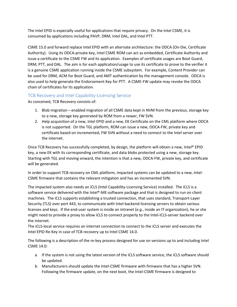The Intel EPID is especially useful for applications that require privacy. On the Intel CSME, it is consumed by applications including PAVP, DRM, Intel DAL, and Intel PTT.

CSME 15.0 and forward replace Intel EPID with an alternate architecture: the ODCA (On-Die, Certificate Authority). Using its ODCA-private key, Intel CSME ROM can act as embedded, Certificate Authority and issue a certificate to the CSME FW and its application. Examples of certificate usages are Boot Guard, DRM, PTT, and DAL. The aim is for each application/usage to use its certificate to prove to the verifier it is a genuine CSME application running inside the CSME subsystem. For example, Content Provider can be used for DRM, ACM for Boot Guard, and AMT authentication by the management console. ODCA is also used to help generate the Endorsement Key for PTT. A CSME-FW update may revoke the ODCA chain of certificates for its application.

## <span id="page-21-0"></span>TCB Recovery and Intel Capability-Licensing Service

As conceived, TCB Recovery consists of:

- 1. Blob migration enabled migration of all CSME data kept in NVM from the previous, storage key to a new, storage key generated by ROM from a newer, FW SVN.
- 2. Help acquisition of a new, Intel EPID and a new, EK Certificate on the CML platform where ODCA is not supported. On the TGL platform, ROM can issue a new, ODCA-FW, private key and certificate based on incremented, FW SVN without a need to connect to the Intel server over the internet.

Once TCB Recovery has successfully completed, by design, the platform will obtain a new, Intel® EPID key, a new EK with its corresponding certificate, and data blobs protected using a new, storage key. Starting with TGL and moving onward, the intention is that a new, ODCA-FW, private key, and certificate will be generated.

In order to support TCB recovery on CML platform, impacted systems can be updated to a new, Intel-CSME firmware that contains the relevant mitigation and has an incremented SVN.

The impacted system also needs an iCLS (Intel Capability-Licensing Service) installed. The iCLS is a software service delivered with the Intel®-ME-software package and that is designed to run on client machines. The iCLS supports establishing a trusted connection, that uses standard, Transport-Layer Security (TLS) over port 443, to communicate with Intel-backend-licensing servers to obtain various licenses and keys. If the end-user system is inside an intranet (*e.g.*, inside an IT organization), he or she might need to provide a proxy to allow iCLS to connect properly to the Intel-iCLS-server backend over the internet.

The iCLS-local service requires an internet connection to connect to the iCLS server and executes the Intel EPID Re-Key in case of TCB recovery up to Intel CSME 14.0.

The following is a description of the re-key process designed for use on versions up to and including Intel CSME 14.0:

- a. If the system is not using the latest version of the iCLS software service, the iCLS software should be updated.
- b. Manufacturers should update the Intel-CSME firmware with firmware that has a higher SVN. Following the firmware update, on the next boot, the Intel-CSME firmware is designed to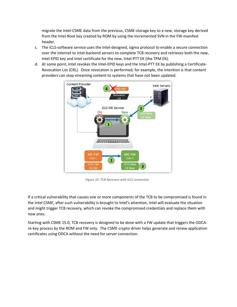migrate the Intel-CSME data from the previous, CSME-storage key to a new, storage key derived from the Intel-Root key created by ROM by using the incremented SVN in the FW-manifest header.

- c. The iCLS-software service uses the Intel-designed, sigma protocol to enable a secure connection over the internet to Intel-backend servers to complete TCB recovery and retrieves both the new, Intel-EPID key and Intel certificate for the new, Intel-PTT EK (the TPM EK).
- d. At some point, Intel revokes the Intel-EPID keys and the Intel-PTT EK by publishing a Certificate-Revocation List (CRL). Once revocation is performed, for example, the intention is that content providers can stop streaming content to systems that have not been updated.



*Figure 10 -TCB Recovery with iCLS connection*

If a critical vulnerability that causes one or more components of the TCB to be compromised is found in the Intel CSME, after such vulnerability is brought to Intel's attention, Intel will evaluate the situation and might trigger TCB recovery, which can revoke the compromised credentials and replace them with new ones.

Starting with CSME 15.0, TCB recovery is designed to be done with a FW update that triggers the ODCAre-key process by the ROM and FW only. The CSME-crypto driver helps generate and renew application certificates using ODCA without the need for server connection.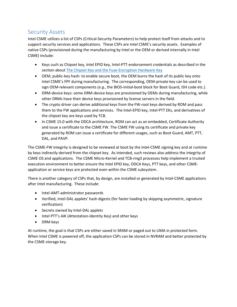## <span id="page-23-0"></span>Security Assets

Intel CSME utilizes a list of CSPs (Critical-Security Parameters) to help protect itself from attacks and to support security services and applications. These CSPs are Intel CSME's security assets. Examples of native CSPs (provisioned during the manufacturing by Intel or the OEM or derived internally in Intel CSME) include:

- Keys such as Chipset key, Intel EPID key, Intel-PTT-endorsement credentials as described in the section abou[t The Chipset Key and the Fuse-Encryption Hardware Key](#page-10-1)
- OEM, public-key hash: to enable secure boot, the OEM burns the hash of its public key onto Intel CSME's FPF during manufacturing. The corresponding, OEM-private key can be used to sign OEM-relevant components (*e.g.*, the BIOS-initial-boot block for Boot Guard, ISH code etc.).
- DRM-device keys: some DRM-device keys are provisioned by OEMs during manufacturing, while other DRMs have their device keys provisioned by license servers in the field.
- The crypto driver can derive additional keys from the FW-root keys derived by ROM and pass them to the FW applications and services. The Intel-EPID key, Intel-PTT EKs, and derivatives of the chipset key are keys used by TCB.
- In CSME 15.0 with the ODCA architecture, ROM can act as an embedded, Certificate Authority and issue a certificate to the CSME FW. The CSME FW using its certificate and private key generated by ROM can issue a certificate for different usages, such as Boot Guard, AMT, PTT, DAL, and PAVP.

The CSME-FW integrity is designed to be reviewed at boot by the Intel-CSME signing key and at runtime by keys indirectly derived from the chipset key. As intended, such reviews also address the integrity of CSME OS and applications. The CSME Micro-Kernel and TCB-ring3 processes help implement a trusted execution environment to better ensure the Intel EPID key, ODCA Keys, PTT keys, and other CSMEapplication or service keys are protected even within the CSME subsystem.

There is another category of CSPs that, by design, are installed or generated by Intel-CSME applications after Intel manufacturing. These include:

- Intel-AMT-administrator passwords
- Verified, Intel-DAL applets' hash digests (for faster loading by skipping asymmetric, signature verification)
- Secrets owned by Intel-DAL applets
- Intel PTT's AIK (Attestation-Identity Key) and other keys
- DRM keys

At runtime, the goal is that CSPs are either saved in SRAM or paged out to UMA in protected form. When Intel CSME is powered off, the application CSPs can be stored in NVRAM and better protected by the CSME-storage key.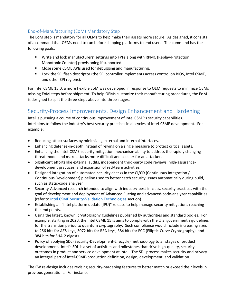## <span id="page-24-0"></span>End-of-Manufacturing (EoM) Mandatory Step

The EoM step is mandatory for all OEMs to help make their assets more secure. As designed, it consists of a command that OEMs need to run before shipping platforms to end users. The command has the following goals:

- **■** Write and lock manufacturers' settings into FPFs along with RPMC (Replay-Protection, Monotonic Counter) provisioning if supported.
- Close some CSME APIs used for debugging and manufacturing.
- Lock the SPI flash descriptor (the SPI controller implements access control on BIOS, Intel CSME, and other SPI regions).

For Intel CSME 15.0, a more flexible EoM was developed in response to OEM requests to minimize OEMs missing EoM steps before shipment. To help OEMs customize their manufacturing procedures, the EoM is designed to split the three steps above into three stages.

## <span id="page-24-1"></span>Security-Process Improvements, Design Enhancement and Hardening

Intel is pursuing a course of continuous improvement of Intel CSME's security capabilities. Intel aims to follow the industry's best security practices in all cycles of Intel-CSME development. For example:

- Reducing attack surfaces by minimizing external and internal interfaces.
- Enhancing defense-in-depth instead of relying on a single measure to protect critical assets.
- Enhancing the Intel-CSME-security-mitigation mechanism ability to address the rapidly changing threat model and make attacks more difficult and costlier for an attacker.
- Significant efforts like external audits, independent third-party code reviews, high-assurancedevelopment practices, and expansion of red-team activities.
- Designed integration of automated-security checks in the CI/CD (Continuous Integration / Continuous Development) pipeline used to better catch security issues automatically during build, such as static-code analyzer
- Security-Advanced research intended to align with industry-best-in-class, security practices with the goal of development and deployment of Advanced Fuzzing and advanced-code-analyzer capabilities (refer to [Intel CSME Security-Validation Technologies](#page-28-0) section).
- Establishing an "Intel platform update (IPU)" release to help manage security mitigations reaching the end points.
- Using the latest, known, cryptography guidelines published by authorities and standard bodies. For example, starting in 2020, the Intel CSME 15 is aims to comply with the U.S. government's guidelines for the transition period to quantum cryptography. Such compliance would include increasing sizes to 256 bits for AES keys, 3072 bits for RSA keys, 384 bits for ECC (Elliptic-Curve Cryptography), and 384 bits for SHA-2 digests.
- Policy of applying SDL (Security-Development-Lifecycle) methodology to all stages of product development. Intel's SDL is a set of activities and milestones that drive high-quality, security outcomes in product and service development at Intel. The SDL process makes security and privacy an integral part of Intel-CSME-production definition, design, development, and validation.

The FW re-design includes revising security-hardening features to better match or exceed their levels in previous generations. For instance: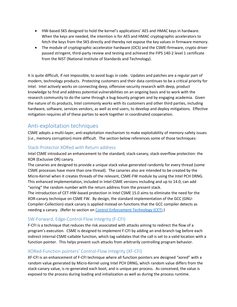- HW-based SKS designed to hold the kernel's applications' AES and HMAC keys in hardware. When the keys are needed, the intention is for AES and HMAC cryptographic accelerators to fetch the keys from the SKS directly and thereby not expose the key values in firmware memory.
- The module of cryptographic-accelerator hardware (OCS) and the CSME-firmware, crypto driver passed stringent, third-party review and testing and achieved the FIPS 140-2 level 1 certificate from the NIST (National Institute of Standards and Technology).

It is quite difficult, if not impossible, to avoid bugs in code. Updates and patches are a regular part of modern, technology products. Protecting customers and their data continues to be a critical priority for Intel. Intel actively works on connecting deep, offensive-security research with deep, product knowledge to find and address potential vulnerabilities on an ongoing basis and to work with the research community to do the same through a bug-bounty program and by engaging academia. Given the nature of its products, Intel commonly works with its customers and other third parties, including hardware, software, services vendors, as well as end users, to develop and deploy mitigations. Effective mitigation requires all of these parties to work together in coordinated cooperation.

## <span id="page-25-0"></span>Anti-exploitation techniques

CSME adopts a multi-layer, anti-exploitation mechanism to make exploitability of memory-safety issues (*i.e.*, memory corruption) more difficult. The section below references some of those techniques:

## <span id="page-25-1"></span>Stack-Protector XORed with Return address

Intel CSME introduced an enhancement to the standard, stack-canary, stack-overflow protection: the XOR (Exclusive OR) canary.

The canaries are designed to provide a unique stack value generated randomly for every thread (some CSME processes have more than one thread). The canaries also are intended to be created by the Micro-Kernel when it creates threads of the relevant, CSME-FW module by using the Intel PCH DRNG. This enhanced implementation, included in Intel-CSME versions including and up to 14.0, can add "xoring" the random number with the return address from the present stack.

The introduction of CET-HW-based protection in Intel CSME 15.0 aims to eliminate the need for the XOR-canary technique on CSME FW. By design, the standard implementation of the GCC (GNU-Compiler-Collection)-stack canary is applied instead on functions that the GCC compiler detects as needing a canary. (Refer to section o[n Control Enforcement Technology \(CET\).](#page-26-2))

## <span id="page-25-2"></span>SW-Forward, Edge-Control-Flow Integrity (F-CFI)

F-CFI is a technique that reduces the risk associated with attacks aiming to redirect the flow of a program's execution. CSME is designed to implement F-CFI by adding an end-branch tag before each indirect internal CSME-callable function, which tag validates that the call is set to a valid location with a function pointer. This helps prevent such attacks from arbitrarily controlling program behavior.

## <span id="page-25-3"></span>XORed-Function pointers' Control-Flow Integrity (XF-CFI)

XF-CFI is an enhancement of F-CFI technique where all function pointers are designed "xored" with a random value generated by Micro-Kernel using Intel PCH DRNG, which random value differs from the stack-canary value, is re-generated each boot, and is unique per process. As conceived, the value is exposed to the process during loading and initialization as well as during the process runtime.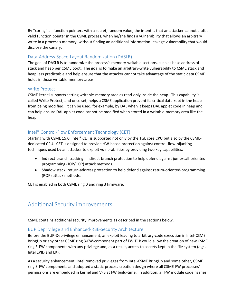By "xoring" all function pointers with a secret, random value, the intent is that an attacker cannot craft a valid function pointer in the CSME process, when he/she finds a vulnerability that allows an arbitrary write in a process's memory, without finding an additional information-leakage vulnerability that would disclose the canary.

## <span id="page-26-0"></span>Data-Address-Space-Layout Randomization (DASLR)

The goal of DASLR is to randomize the process's memory-writable sections, such as base address of stack and heap per CSME boot. The goal is to make an arbitrary-write vulnerability to CSME stack and heap less predictable and help ensure that the attacker cannot take advantage of the static data CSME holds in those writable-memory areas.

#### <span id="page-26-1"></span>Write Protect

CSME kernel supports setting writable-memory area as read-only inside the heap. This capability is called Write Protect, and once set, helps a CSME application prevent its critical data kept in the heap from being modified. It can be used, for example, by DAL when it keeps DAL applet code in heap and can help ensure DAL applet code cannot be modified when stored in a writable-memory area like the heap.

## <span id="page-26-2"></span>Intel® Control-Flow Enforcement Technology (CET)

Starting with CSME 15.0, Intel® CET is supported not only by the TGL core CPU but also by the CSMEdedicated CPU. CET is designed to provide HW-based protection against control-flow-hijacking techniques used by an attacker to exploit vulnerabilities by providing two key capabilities:

- Indirect-branch tracking: indirect-branch protection to help defend against jump/call-orientedprogramming (JOP/COP) attack methods.
- <span id="page-26-5"></span>• Shadow stack: return-address protection to help defend against return-oriented-programming (ROP) attack methods.

CET is enabled in both CSME ring 0 and ring 3 firmware.

## <span id="page-26-3"></span>Additional Security improvements

CSME contains additional security improvements as described in the sections below.

## <span id="page-26-4"></span>BUP Deprivilege and Enhanced-RBE-Security Architecture

Before the BUP-Deprivilege enhancement, an exploit leading to arbitrary-code execution in Intel-CSME BringUp or any other CSME ring 3-FW-component part of FW TCB could allow the creation of new CSME ring 3-FW components with any privilege and, as a result, access to secrets kept in the file system (*e.g.*, Intel EPID and EK).

As a security enhancement, Intel removed privileges from Intel-CSME BringUp and some other, CSME ring 3-FW components and adopted a static-process-creation design where all CSME-FW processes' permissions are embedded in kernel and VFS at FW build-time. In addition, all FW module code hashes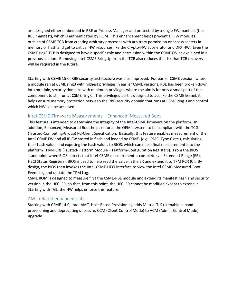are designed either embedded in RBE or Process Manager and protected by a single FW manifest (the RBE manifest), which is authenticated by ROM. This enhancement helps prevent all FW modules outside of CSME TCB from creating arbitrary processes with arbitrary permission or access secrets in memory or flash and get to critical HW resources like the Crypto-HW accelerator and DFX HW. Even the CSME ring3 TCB is designed to have a specific role and permission within the CSME OS, as explained in a previous section. Removing Intel-CSME BringUp from the TCB also reduces the risk that TCB recovery will be required in the future.

Starting with CSME 15.0, RBE security architecture was also improved. For earlier CSME version, where a module ran at CSME ring0 with highest privileges in earlier CSME versions, RBE has been broken down into multiple, security domains with minimum privileges where the aim is for only a small part of the component to still run at CSME ring 0. This privileged part is designed to act like the CSME kernel: it helps ensure memory protection between the RBE-security domain that runs at CSME ring 3 and control which HW can be accessed.

#### <span id="page-27-0"></span>Intel-CSME-Firmware Measurements – Enhanced, Measured Boot

This feature is intended to determine the integrity of the Intel-CSME firmware on the platform. In addition, Enhanced, Measured Boot helps enforce the OEM's system to be compliant with the TCG (Trusted-Computing-Group) PC-Client Specification. Basically, this feature enables measurement of the Intel-CSME FW and all IP FW stored in flash and loaded by CSME, (*e.g.*, PMC, Type C etc.), calculating their hash value, and exposing the hash values to BIOS, which can make final measurement into the platform TPM-PCRs (Trusted-Platform Module – Platform-Configuration Registers). From the BIOS standpoint, when BIOS detects that Intel-CSME measurement is complete (via Extended-Range (ER), HECI Status Registers), BIOS is used to help read the value in the ER and extend it to TPM PCR [0]. By design, the BIOS then invokes the Intel-CSME-HECI interface to view the Intel-CSME-Measured-Boot-Event Log and update the TPM Log.

CSME ROM is designed to measure first the CSME-RBE module and extend its manifest hash and security version in the HECI ER, so that, from this point, the HECI ER cannot be modified except to extend it. Starting with TGL, the HW helps enforce this feature.

## <span id="page-27-1"></span>AMT-related enhancements

Starting with CSME 14.0, Intel-AMT, Host-Based Provisioning adds Mutual TLS to enable in band provisioning and deprecating unsecure, CCM (Client-Control Mode) to ACM (Admin-Control Mode) upgrade.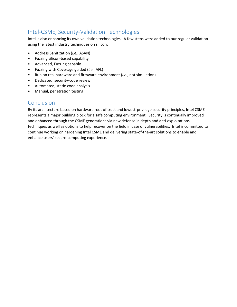# <span id="page-28-0"></span>Intel-CSME, Security-Validation Technologies

Intel is also enhancing its own validation technologies. A few steps were added to our regular validation using the latest industry techniques on silicon:

- Address Sanitization (*i.e.*, ASAN)
- Fuzzing silicon-based capability
- Advanced, Fuzzing capable
- Fuzzing with Coverage guided (*i.e.*, AFL)
- Run on real hardware and firmware environment (*i.e.*, not simulation)
- Dedicated, security-code review
- Automated, static-code analysis
- Manual, penetration testing

## <span id="page-28-1"></span>Conclusion

By its architecture based on hardware root of trust and lowest-privilege security principles, Intel CSME represents a major building block for a safe computing environment. Security is continually improved and enhanced through the CSME generations via new defense in depth and anti-exploitations techniques as well as options to help recover on the field in case of vulnerabilities. Intel is committed to continue working on hardening Intel CSME and delivering state-of-the-art solutions to enable and enhance users' secure-computing experience.